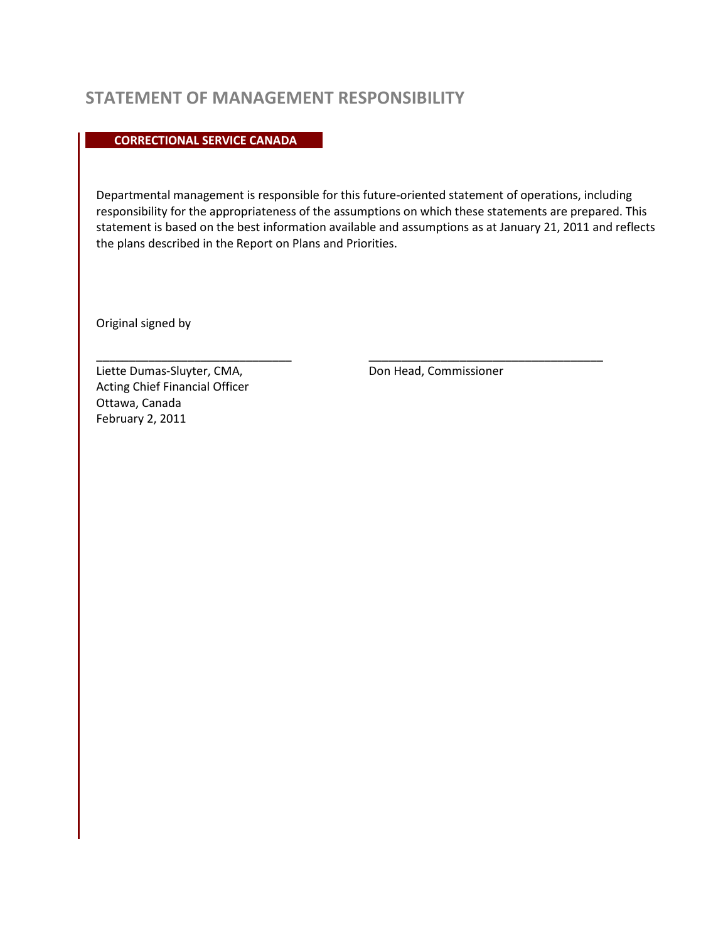## **STATEMENT OF MANAGEMENT RESPONSIBILITY**

**CORRECTIONAL SERVICE CANADA** 

Departmental management is responsible for this future-oriented statement of operations, including responsibility for the appropriateness of the assumptions on which these statements are prepared. This statement is based on the best information available and assumptions as at January 21, 2011 and reflects the plans described in the Report on Plans and Priorities.

Original signed by

Liette Dumas-Sluyter, CMA, and Don Head, Commissioner Acting Chief Financial Officer Ottawa, Canada February 2, 2011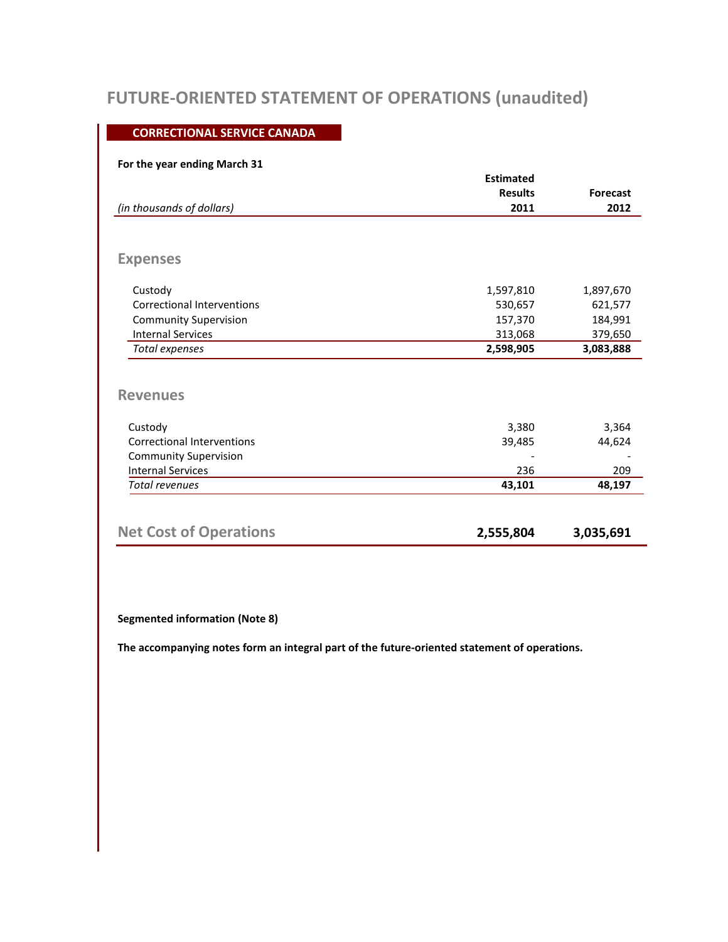# **FUTURE-ORIENTED STATEMENT OF OPERATIONS (unaudited)**

### **CORRECTIONAL SERVICE CANADA**

### **For the year ending March 31**

|                                   | <b>Estimated</b> |                 |  |
|-----------------------------------|------------------|-----------------|--|
|                                   | <b>Results</b>   | <b>Forecast</b> |  |
| (in thousands of dollars)         | 2011             | 2012            |  |
|                                   |                  |                 |  |
| <b>Expenses</b>                   |                  |                 |  |
| Custody                           | 1,597,810        | 1,897,670       |  |
| Correctional Interventions        | 530,657          | 621,577         |  |
| <b>Community Supervision</b>      | 157,370          | 184,991         |  |
| <b>Internal Services</b>          | 313,068          | 379,650         |  |
| Total expenses                    | 2,598,905        | 3,083,888       |  |
| <b>Revenues</b>                   |                  |                 |  |
| Custody                           | 3,380            | 3,364           |  |
| <b>Correctional Interventions</b> | 39,485           | 44,624          |  |
| <b>Community Supervision</b>      |                  |                 |  |
| <b>Internal Services</b>          | 236              | 209             |  |
| <b>Total revenues</b>             | 43,101           | 48,197          |  |
|                                   |                  |                 |  |
| <b>Net Cost of Operations</b>     | 2,555,804        | 3,035,691       |  |

#### **Segmented information (Note 8)**

**The accompanying notes form an integral part of the future-oriented statement of operations.**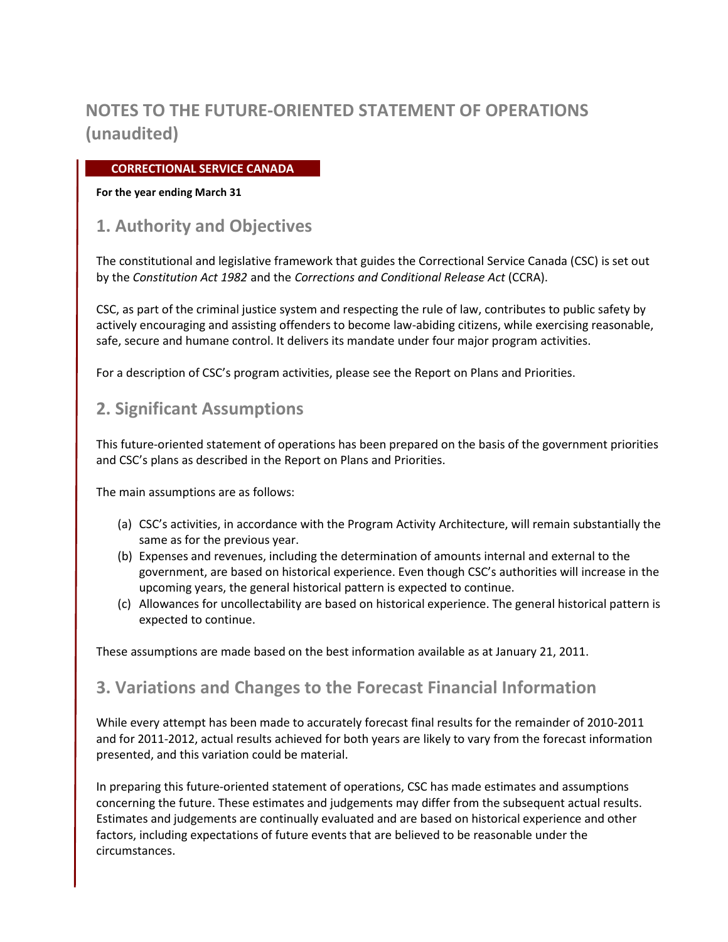### **CORRECTIONAL SERVICE CANADA**

#### **For the year ending March 31**

## **1. Authority and Objectives**

The constitutional and legislative framework that guides the Correctional Service Canada (CSC) is set out by the *Constitution Act 1982* and the *Corrections and Conditional Release Act* (CCRA).

CSC, as part of the criminal justice system and respecting the rule of law, contributes to public safety by actively encouraging and assisting offenders to become law-abiding citizens, while exercising reasonable, safe, secure and humane control. It delivers its mandate under four major program activities.

For a description of CSC's program activities, please see the Report on Plans and Priorities.

## **2. Significant Assumptions**

This future-oriented statement of operations has been prepared on the basis of the government priorities and CSC's plans as described in the Report on Plans and Priorities.

The main assumptions are as follows:

- (a) CSC's activities, in accordance with the Program Activity Architecture, will remain substantially the same as for the previous year.
- (b) Expenses and revenues, including the determination of amounts internal and external to the government, are based on historical experience. Even though CSC's authorities will increase in the upcoming years, the general historical pattern is expected to continue.
- (c) Allowances for uncollectability are based on historical experience. The general historical pattern is expected to continue.

These assumptions are made based on the best information available as at January 21, 2011.

## **3. Variations and Changes to the Forecast Financial Information**

While every attempt has been made to accurately forecast final results for the remainder of 2010-2011 and for 2011-2012, actual results achieved for both years are likely to vary from the forecast information presented, and this variation could be material.

In preparing this future-oriented statement of operations, CSC has made estimates and assumptions concerning the future. These estimates and judgements may differ from the subsequent actual results. Estimates and judgements are continually evaluated and are based on historical experience and other factors, including expectations of future events that are believed to be reasonable under the circumstances.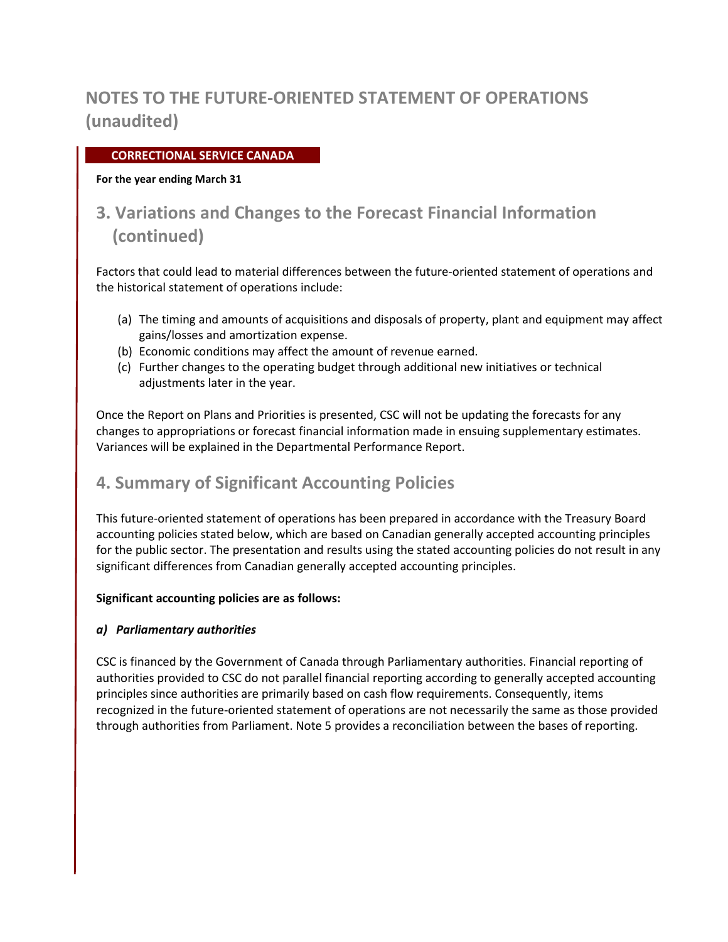### **CORRECTIONAL SERVICE CANADA**

#### **For the year ending March 31**

# **3. Variations and Changes to the Forecast Financial Information (continued)**

Factors that could lead to material differences between the future-oriented statement of operations and the historical statement of operations include:

- (a) The timing and amounts of acquisitions and disposals of property, plant and equipment may affect gains/losses and amortization expense.
- (b) Economic conditions may affect the amount of revenue earned.
- (c) Further changes to the operating budget through additional new initiatives or technical adjustments later in the year.

Once the Report on Plans and Priorities is presented, CSC will not be updating the forecasts for any changes to appropriations or forecast financial information made in ensuing supplementary estimates. Variances will be explained in the Departmental Performance Report.

## **4. Summary of Significant Accounting Policies**

This future-oriented statement of operations has been prepared in accordance with the Treasury Board accounting policies stated below, which are based on Canadian generally accepted accounting principles for the public sector. The presentation and results using the stated accounting policies do not result in any significant differences from Canadian generally accepted accounting principles.

### **Significant accounting policies are as follows:**

### *a) Parliamentary authorities*

CSC is financed by the Government of Canada through Parliamentary authorities. Financial reporting of authorities provided to CSC do not parallel financial reporting according to generally accepted accounting principles since authorities are primarily based on cash flow requirements. Consequently, items recognized in the future-oriented statement of operations are not necessarily the same as those provided through authorities from Parliament. Note 5 provides a reconciliation between the bases of reporting.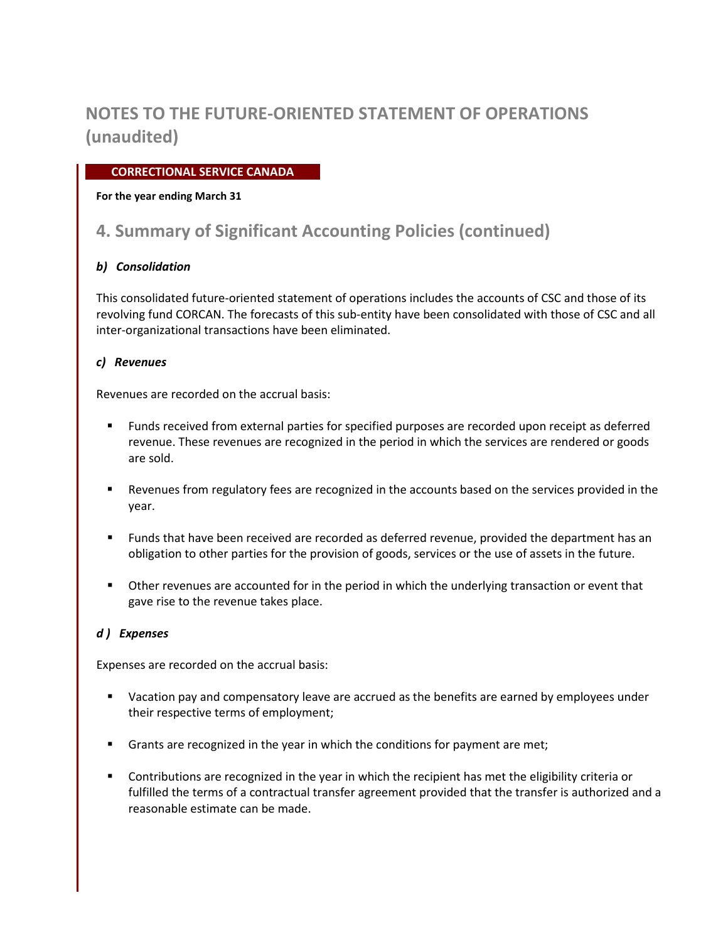### **CORRECTIONAL SERVICE CANADA**

### **For the year ending March 31**

## **4. Summary of Significant Accounting Policies (continued)**

### *b) Consolidation*

This consolidated future-oriented statement of operations includes the accounts of CSC and those of its revolving fund CORCAN. The forecasts of this sub-entity have been consolidated with those of CSC and all inter-organizational transactions have been eliminated.

### *c) Revenues*

Revenues are recorded on the accrual basis:

- Funds received from external parties for specified purposes are recorded upon receipt as deferred revenue. These revenues are recognized in the period in which the services are rendered or goods are sold.
- Revenues from regulatory fees are recognized in the accounts based on the services provided in the year.
- **Funds that have been received are recorded as deferred revenue, provided the department has an** obligation to other parties for the provision of goods, services or the use of assets in the future.
- Other revenues are accounted for in the period in which the underlying transaction or event that gave rise to the revenue takes place.

### *d ) Expenses*

Expenses are recorded on the accrual basis:

- **U** Vacation pay and compensatory leave are accrued as the benefits are earned by employees under their respective terms of employment;
- **Grants are recognized in the year in which the conditions for payment are met;**
- Contributions are recognized in the year in which the recipient has met the eligibility criteria or fulfilled the terms of a contractual transfer agreement provided that the transfer is authorized and a reasonable estimate can be made.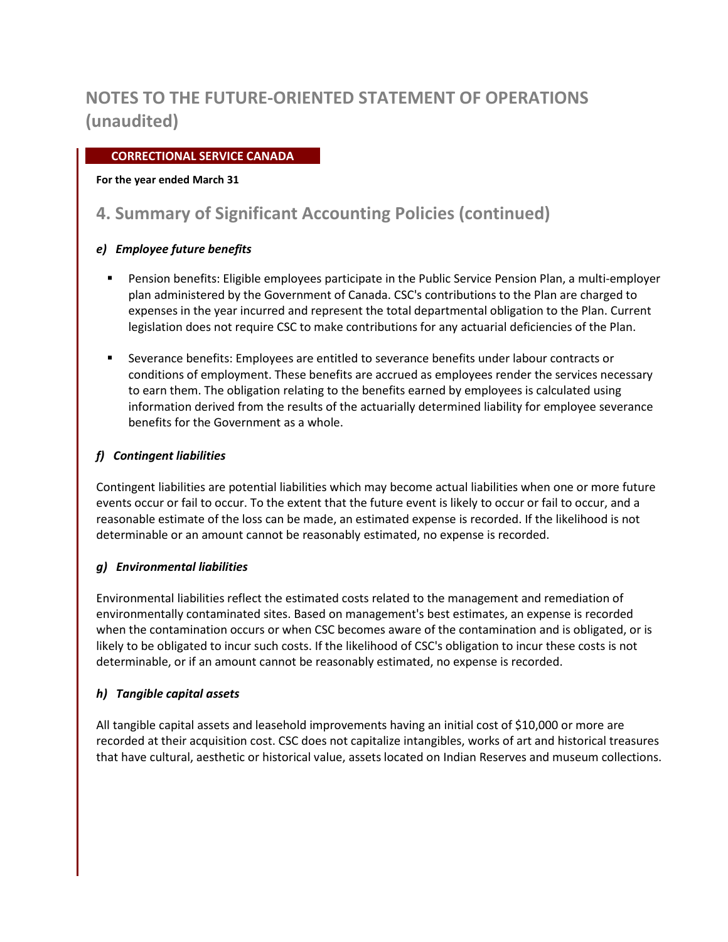### **CORRECTIONAL SERVICE CANADA**

### **For the year ended March 31**

# **4. Summary of Significant Accounting Policies (continued)**

### *e) Employee future benefits*

- Pension benefits: Eligible employees participate in the Public Service Pension Plan, a multi-employer plan administered by the Government of Canada. CSC's contributions to the Plan are charged to expenses in the year incurred and represent the total departmental obligation to the Plan. Current legislation does not require CSC to make contributions for any actuarial deficiencies of the Plan.
- Severance benefits: Employees are entitled to severance benefits under labour contracts or conditions of employment. These benefits are accrued as employees render the services necessary to earn them. The obligation relating to the benefits earned by employees is calculated using information derived from the results of the actuarially determined liability for employee severance benefits for the Government as a whole.

### *f) Contingent liabilities*

Contingent liabilities are potential liabilities which may become actual liabilities when one or more future events occur or fail to occur. To the extent that the future event is likely to occur or fail to occur, and a reasonable estimate of the loss can be made, an estimated expense is recorded. If the likelihood is not determinable or an amount cannot be reasonably estimated, no expense is recorded.

### *g) Environmental liabilities*

Environmental liabilities reflect the estimated costs related to the management and remediation of environmentally contaminated sites. Based on management's best estimates, an expense is recorded when the contamination occurs or when CSC becomes aware of the contamination and is obligated, or is likely to be obligated to incur such costs. If the likelihood of CSC's obligation to incur these costs is not determinable, or if an amount cannot be reasonably estimated, no expense is recorded.

### *h) Tangible capital assets*

All tangible capital assets and leasehold improvements having an initial cost of \$10,000 or more are recorded at their acquisition cost. CSC does not capitalize intangibles, works of art and historical treasures that have cultural, aesthetic or historical value, assets located on Indian Reserves and museum collections.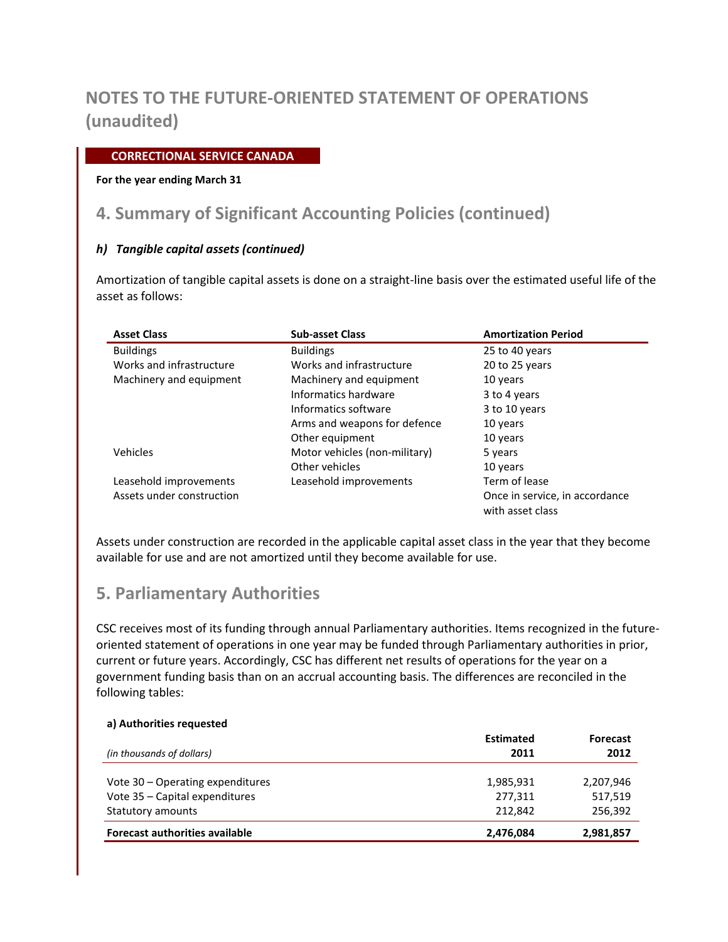### **CORRECTIONAL SERVICE CANADA**

#### **For the year ending March 31**

## **4. Summary of Significant Accounting Policies (continued)**

### *h) Tangible capital assets (continued)*

Amortization of tangible capital assets is done on a straight-line basis over the estimated useful life of the asset as follows:

| <b>Asset Class</b>        | <b>Sub-asset Class</b>        | <b>Amortization Period</b>                         |
|---------------------------|-------------------------------|----------------------------------------------------|
| <b>Buildings</b>          | <b>Buildings</b>              | 25 to 40 years                                     |
| Works and infrastructure  | Works and infrastructure      | 20 to 25 years                                     |
| Machinery and equipment   | Machinery and equipment       | 10 years                                           |
|                           | Informatics hardware          | 3 to 4 years                                       |
|                           | Informatics software          | 3 to 10 years                                      |
|                           | Arms and weapons for defence  | 10 years                                           |
|                           | Other equipment               | 10 years                                           |
| Vehicles                  | Motor vehicles (non-military) | 5 years                                            |
|                           | Other vehicles                | 10 years                                           |
| Leasehold improvements    | Leasehold improvements        | Term of lease                                      |
| Assets under construction |                               | Once in service, in accordance<br>with asset class |

Assets under construction are recorded in the applicable capital asset class in the year that they become available for use and are not amortized until they become available for use.

## **5. Parliamentary Authorities**

CSC receives most of its funding through annual Parliamentary authorities. Items recognized in the futureoriented statement of operations in one year may be funded through Parliamentary authorities in prior, current or future years. Accordingly, CSC has different net results of operations for the year on a government funding basis than on an accrual accounting basis. The differences are reconciled in the following tables:

| a) Authorities requested              |                  |                 |  |
|---------------------------------------|------------------|-----------------|--|
|                                       | <b>Estimated</b> | <b>Forecast</b> |  |
| (in thousands of dollars)             | 2011             | 2012            |  |
| Vote 30 – Operating expenditures      | 1,985,931        | 2,207,946       |  |
| Vote 35 - Capital expenditures        | 277,311          | 517,519         |  |
| Statutory amounts                     | 212.842          | 256,392         |  |
| <b>Forecast authorities available</b> | 2,476,084        | 2,981,857       |  |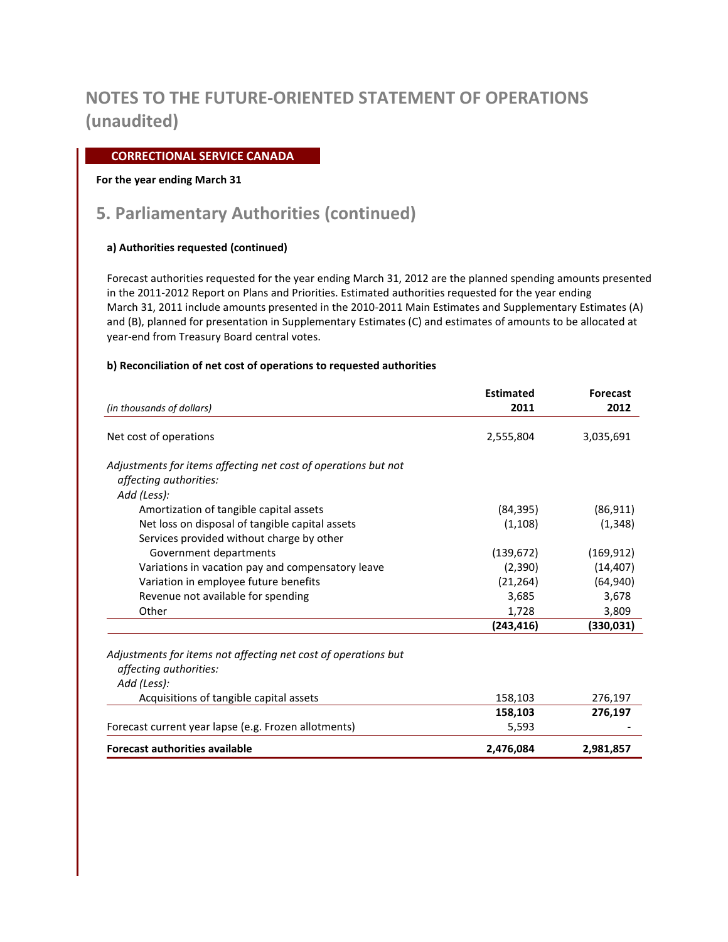### **CORRECTIONAL SERVICE CANADA**

#### **For the year ending March 31**

# **5. Parliamentary Authorities (continued)**

### **a) Authorities requested (continued)**

Forecast authorities requested for the year ending March 31, 2012 are the planned spending amounts presented in the 2011-2012 Report on Plans and Priorities. Estimated authorities requested for the year ending March 31, 2011 include amounts presented in the 2010-2011 Main Estimates and Supplementary Estimates (A) and (B), planned for presentation in Supplementary Estimates (C) and estimates of amounts to be allocated at year-end from Treasury Board central votes.

#### **b) Reconciliation of net cost of operations to requested authorities**

|                                                                | <b>Estimated</b> | <b>Forecast</b> |
|----------------------------------------------------------------|------------------|-----------------|
| (in thousands of dollars)                                      | 2011             | 2012            |
| Net cost of operations                                         | 2,555,804        | 3,035,691       |
| Adjustments for items affecting net cost of operations but not |                  |                 |
| affecting authorities:                                         |                  |                 |
| Add (Less):                                                    |                  |                 |
| Amortization of tangible capital assets                        | (84, 395)        | (86, 911)       |
| Net loss on disposal of tangible capital assets                | (1,108)          | (1, 348)        |
| Services provided without charge by other                      |                  |                 |
| Government departments                                         | (139, 672)       | (169, 912)      |
| Variations in vacation pay and compensatory leave              | (2,390)          | (14, 407)       |
| Variation in employee future benefits                          | (21, 264)        | (64, 940)       |
| Revenue not available for spending                             | 3,685            | 3,678           |
| Other                                                          | 1,728            | 3,809           |
|                                                                | (243, 416)       | (330, 031)      |
| Adjustments for items not affecting net cost of operations but |                  |                 |
| affecting authorities:                                         |                  |                 |
| Add (Less):                                                    |                  |                 |
| Acquisitions of tangible capital assets                        | 158,103          | 276,197         |
|                                                                | 158,103          | 276,197         |
| Forecast current year lapse (e.g. Frozen allotments)           | 5,593            |                 |
| <b>Forecast authorities available</b>                          | 2,476,084        | 2,981,857       |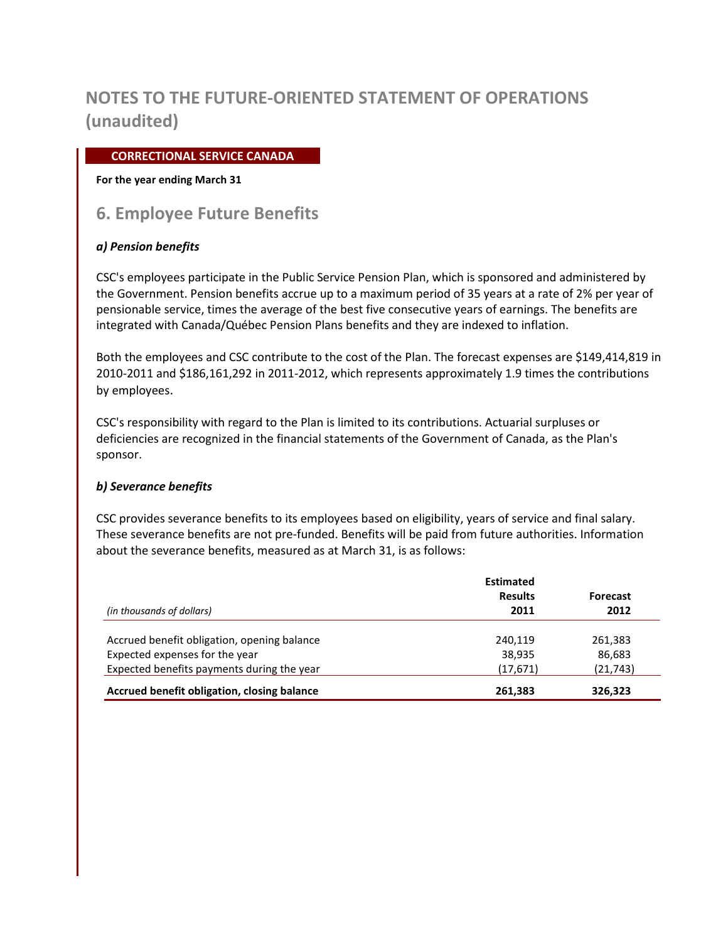### **CORRECTIONAL SERVICE CANADA**

#### **For the year ending March 31**

## **6. Employee Future Benefits**

### *a) Pension benefits*

CSC's employees participate in the Public Service Pension Plan, which is sponsored and administered by the Government. Pension benefits accrue up to a maximum period of 35 years at a rate of 2% per year of pensionable service, times the average of the best five consecutive years of earnings. The benefits are integrated with Canada/Québec Pension Plans benefits and they are indexed to inflation.

Both the employees and CSC contribute to the cost of the Plan. The forecast expenses are \$149,414,819 in 2010-2011 and \$186,161,292 in 2011-2012, which represents approximately 1.9 times the contributions by employees.

CSC's responsibility with regard to the Plan is limited to its contributions. Actuarial surpluses or deficiencies are recognized in the financial statements of the Government of Canada, as the Plan's sponsor.

### *b) Severance benefits*

CSC provides severance benefits to its employees based on eligibility, years of service and final salary. These severance benefits are not pre-funded. Benefits will be paid from future authorities. Information about the severance benefits, measured as at March 31, is as follows:

|                                             | <b>Estimated</b> |                 |  |
|---------------------------------------------|------------------|-----------------|--|
|                                             | <b>Results</b>   | <b>Forecast</b> |  |
| (in thousands of dollars)                   | 2011             | 2012            |  |
| Accrued benefit obligation, opening balance | 240,119          | 261,383         |  |
| Expected expenses for the year              | 38,935           | 86,683          |  |
| Expected benefits payments during the year  | (17, 671)        | (21, 743)       |  |
| Accrued benefit obligation, closing balance | 261,383          | 326.323         |  |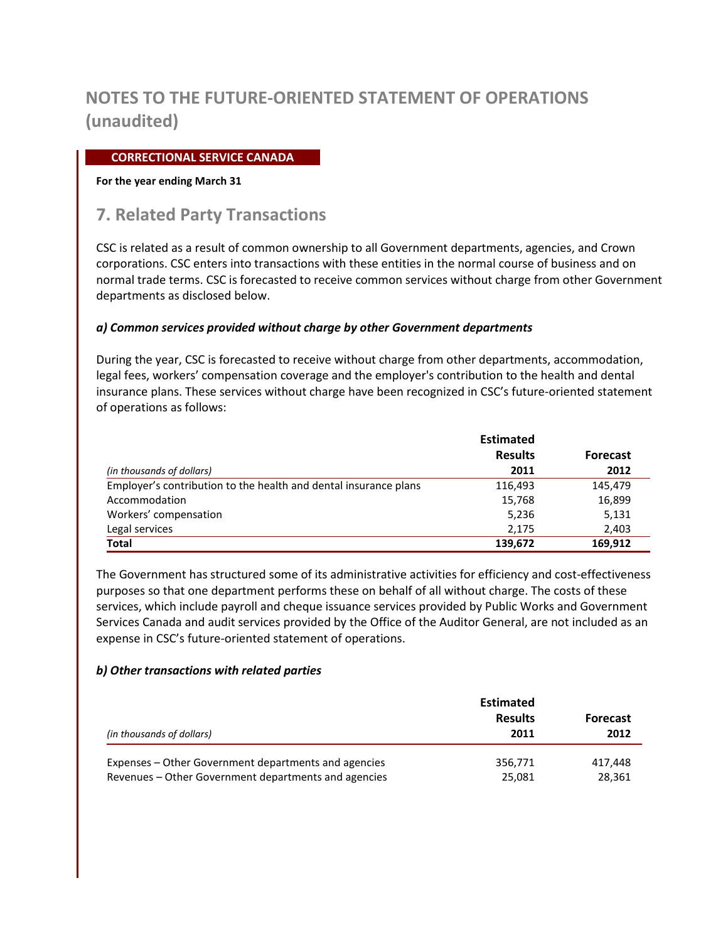### **CORRECTIONAL SERVICE CANADA**

#### **For the year ending March 31**

## **7. Related Party Transactions**

CSC is related as a result of common ownership to all Government departments, agencies, and Crown corporations. CSC enters into transactions with these entities in the normal course of business and on normal trade terms. CSC is forecasted to receive common services without charge from other Government departments as disclosed below.

### *a) Common services provided without charge by other Government departments*

During the year, CSC is forecasted to receive without charge from other departments, accommodation, legal fees, workers' compensation coverage and the employer's contribution to the health and dental insurance plans. These services without charge have been recognized in CSC's future-oriented statement of operations as follows:

|                                                                  | <b>Estimated</b> |                 |  |
|------------------------------------------------------------------|------------------|-----------------|--|
|                                                                  | <b>Results</b>   | <b>Forecast</b> |  |
| (in thousands of dollars)                                        | 2011             | 2012            |  |
| Employer's contribution to the health and dental insurance plans | 116,493          | 145,479         |  |
| Accommodation                                                    | 15,768           | 16,899          |  |
| Workers' compensation                                            | 5,236            | 5,131           |  |
| Legal services                                                   | 2.175            | 2,403           |  |
| Total                                                            | 139,672          | 169,912         |  |

The Government has structured some of its administrative activities for efficiency and cost-effectiveness purposes so that one department performs these on behalf of all without charge. The costs of these services, which include payroll and cheque issuance services provided by Public Works and Government Services Canada and audit services provided by the Office of the Auditor General, are not included as an expense in CSC's future-oriented statement of operations.

#### *b) Other transactions with related parties*

| (in thousands of dollars)                            | <b>Estimated</b><br><b>Results</b><br>2011 | <b>Forecast</b><br>2012 |
|------------------------------------------------------|--------------------------------------------|-------------------------|
| Expenses – Other Government departments and agencies | 356,771                                    | 417.448                 |
| Revenues – Other Government departments and agencies | 25.081                                     | 28,361                  |